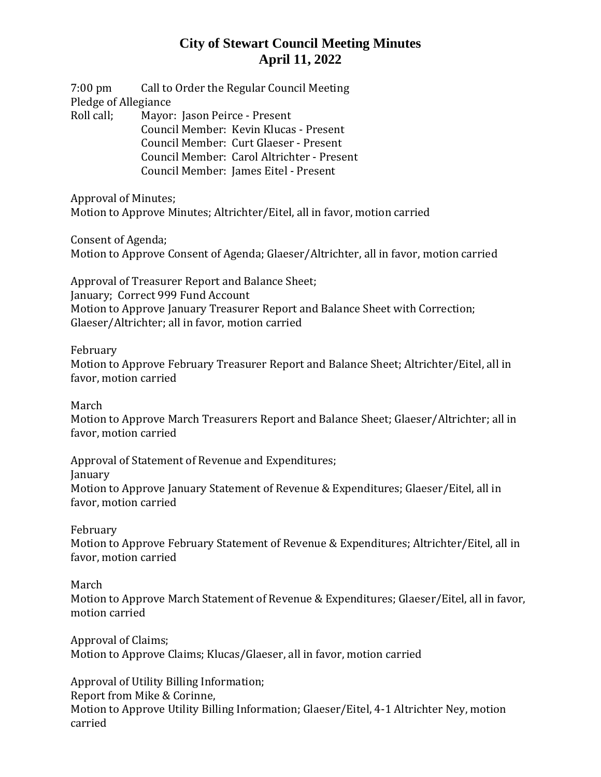7:00 pm Call to Order the Regular Council Meeting Pledge of Allegiance Roll call; Mayor: Jason Peirce - Present Council Member: Kevin Klucas - Present Council Member: Curt Glaeser - Present Council Member: Carol Altrichter - Present Council Member: James Eitel - Present

Approval of Minutes; Motion to Approve Minutes; Altrichter/Eitel, all in favor, motion carried

Consent of Agenda;

Motion to Approve Consent of Agenda; Glaeser/Altrichter, all in favor, motion carried

Approval of Treasurer Report and Balance Sheet; January; Correct 999 Fund Account Motion to Approve January Treasurer Report and Balance Sheet with Correction; Glaeser/Altrichter; all in favor, motion carried

February

Motion to Approve February Treasurer Report and Balance Sheet; Altrichter/Eitel, all in favor, motion carried

March

Motion to Approve March Treasurers Report and Balance Sheet; Glaeser/Altrichter; all in favor, motion carried

Approval of Statement of Revenue and Expenditures; January Motion to Approve January Statement of Revenue & Expenditures; Glaeser/Eitel, all in favor, motion carried

February

Motion to Approve February Statement of Revenue & Expenditures; Altrichter/Eitel, all in favor, motion carried

March

Motion to Approve March Statement of Revenue & Expenditures; Glaeser/Eitel, all in favor, motion carried

Approval of Claims; Motion to Approve Claims; Klucas/Glaeser, all in favor, motion carried

Approval of Utility Billing Information; Report from Mike & Corinne, Motion to Approve Utility Billing Information; Glaeser/Eitel, 4-1 Altrichter Ney, motion carried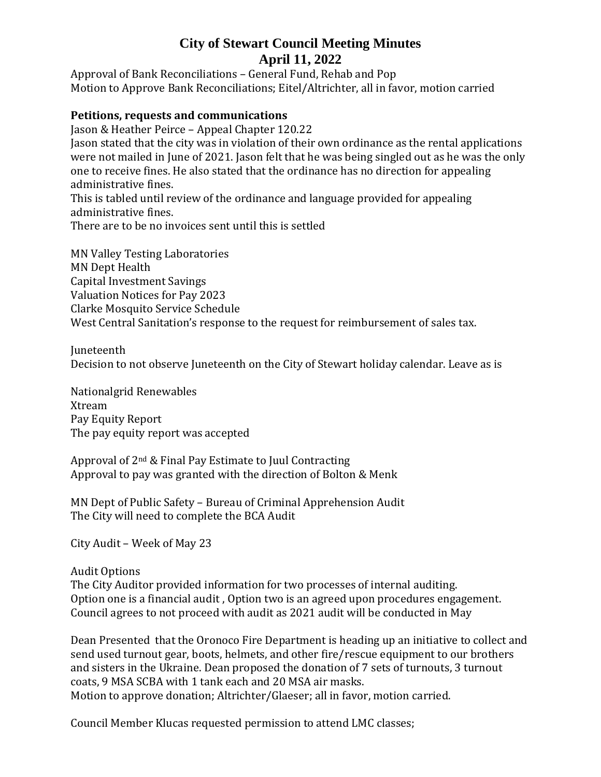Approval of Bank Reconciliations – General Fund, Rehab and Pop Motion to Approve Bank Reconciliations; Eitel/Altrichter, all in favor, motion carried

#### **Petitions, requests and communications**

Jason & Heather Peirce – Appeal Chapter 120.22

Jason stated that the city was in violation of their own ordinance as the rental applications were not mailed in June of 2021. Jason felt that he was being singled out as he was the only one to receive fines. He also stated that the ordinance has no direction for appealing administrative fines.

This is tabled until review of the ordinance and language provided for appealing administrative fines.

There are to be no invoices sent until this is settled

MN Valley Testing Laboratories MN Dept Health Capital Investment Savings Valuation Notices for Pay 2023 Clarke Mosquito Service Schedule West Central Sanitation's response to the request for reimbursement of sales tax.

Juneteenth Decision to not observe Juneteenth on the City of Stewart holiday calendar. Leave as is

Nationalgrid Renewables Xtream Pay Equity Report The pay equity report was accepted

Approval of 2nd & Final Pay Estimate to Juul Contracting Approval to pay was granted with the direction of Bolton & Menk

MN Dept of Public Safety – Bureau of Criminal Apprehension Audit The City will need to complete the BCA Audit

City Audit – Week of May 23

Audit Options The City Auditor provided information for two processes of internal auditing. Option one is a financial audit , Option two is an agreed upon procedures engagement. Council agrees to not proceed with audit as 2021 audit will be conducted in May

Dean Presented that the Oronoco Fire Department is heading up an initiative to collect and send used turnout gear, boots, helmets, and other fire/rescue equipment to our brothers and sisters in the Ukraine. Dean proposed the donation of 7 sets of turnouts, 3 turnout coats, 9 MSA SCBA with 1 tank each and 20 MSA air masks. Motion to approve donation; Altrichter/Glaeser; all in favor, motion carried.

Council Member Klucas requested permission to attend LMC classes;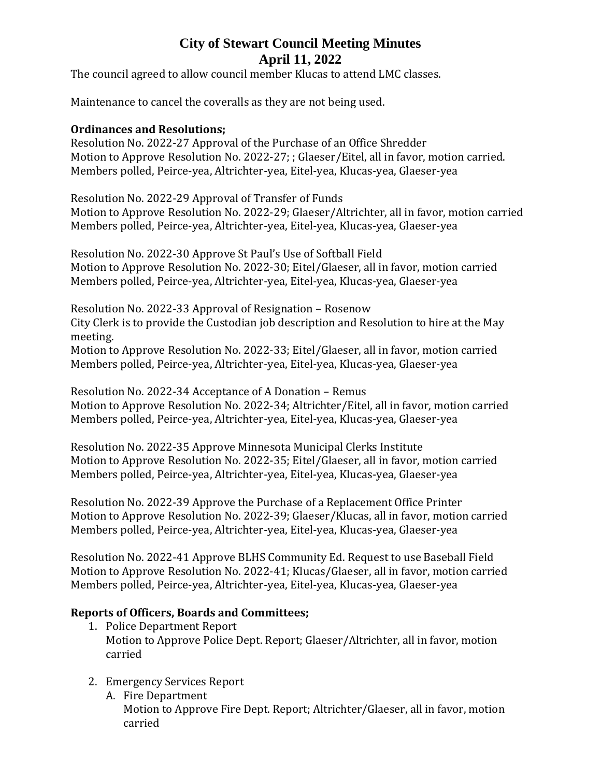The council agreed to allow council member Klucas to attend LMC classes.

Maintenance to cancel the coveralls as they are not being used.

#### **Ordinances and Resolutions;**

Resolution No. 2022-27 Approval of the Purchase of an Office Shredder Motion to Approve Resolution No. 2022-27; ; Glaeser/Eitel, all in favor, motion carried. Members polled, Peirce-yea, Altrichter-yea, Eitel-yea, Klucas-yea, Glaeser-yea

Resolution No. 2022-29 Approval of Transfer of Funds Motion to Approve Resolution No. 2022-29; Glaeser/Altrichter, all in favor, motion carried Members polled, Peirce-yea, Altrichter-yea, Eitel-yea, Klucas-yea, Glaeser-yea

Resolution No. 2022-30 Approve St Paul's Use of Softball Field Motion to Approve Resolution No. 2022-30; Eitel/Glaeser, all in favor, motion carried Members polled, Peirce-yea, Altrichter-yea, Eitel-yea, Klucas-yea, Glaeser-yea

Resolution No. 2022-33 Approval of Resignation – Rosenow City Clerk is to provide the Custodian job description and Resolution to hire at the May meeting.

Motion to Approve Resolution No. 2022-33; Eitel/Glaeser, all in favor, motion carried Members polled, Peirce-yea, Altrichter-yea, Eitel-yea, Klucas-yea, Glaeser-yea

Resolution No. 2022-34 Acceptance of A Donation – Remus Motion to Approve Resolution No. 2022-34; Altrichter/Eitel, all in favor, motion carried Members polled, Peirce-yea, Altrichter-yea, Eitel-yea, Klucas-yea, Glaeser-yea

Resolution No. 2022-35 Approve Minnesota Municipal Clerks Institute Motion to Approve Resolution No. 2022-35; Eitel/Glaeser, all in favor, motion carried Members polled, Peirce-yea, Altrichter-yea, Eitel-yea, Klucas-yea, Glaeser-yea

Resolution No. 2022-39 Approve the Purchase of a Replacement Office Printer Motion to Approve Resolution No. 2022-39; Glaeser/Klucas, all in favor, motion carried Members polled, Peirce-yea, Altrichter-yea, Eitel-yea, Klucas-yea, Glaeser-yea

Resolution No. 2022-41 Approve BLHS Community Ed. Request to use Baseball Field Motion to Approve Resolution No. 2022-41; Klucas/Glaeser, all in favor, motion carried Members polled, Peirce-yea, Altrichter-yea, Eitel-yea, Klucas-yea, Glaeser-yea

### **Reports of Officers, Boards and Committees;**

- 1. Police Department Report Motion to Approve Police Dept. Report; Glaeser/Altrichter, all in favor, motion carried
- 2. Emergency Services Report
	- A. Fire Department Motion to Approve Fire Dept. Report; Altrichter/Glaeser, all in favor, motion carried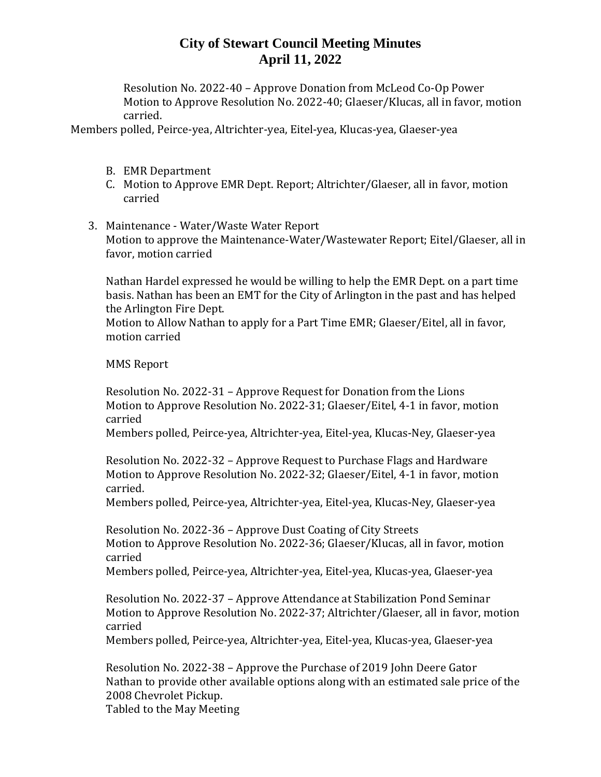Resolution No. 2022-40 – Approve Donation from McLeod Co-Op Power Motion to Approve Resolution No. 2022-40; Glaeser/Klucas, all in favor, motion carried.

Members polled, Peirce-yea, Altrichter-yea, Eitel-yea, Klucas-yea, Glaeser-yea

- B. EMR Department
- C. Motion to Approve EMR Dept. Report; Altrichter/Glaeser, all in favor, motion carried
- 3. Maintenance Water/Waste Water Report Motion to approve the Maintenance-Water/Wastewater Report; Eitel/Glaeser, all in favor, motion carried

Nathan Hardel expressed he would be willing to help the EMR Dept. on a part time basis. Nathan has been an EMT for the City of Arlington in the past and has helped the Arlington Fire Dept.

Motion to Allow Nathan to apply for a Part Time EMR; Glaeser/Eitel, all in favor, motion carried

MMS Report

Resolution No. 2022-31 – Approve Request for Donation from the Lions Motion to Approve Resolution No. 2022-31; Glaeser/Eitel, 4-1 in favor, motion carried

Members polled, Peirce-yea, Altrichter-yea, Eitel-yea, Klucas-Ney, Glaeser-yea

Resolution No. 2022-32 – Approve Request to Purchase Flags and Hardware Motion to Approve Resolution No. 2022-32; Glaeser/Eitel, 4-1 in favor, motion carried.

Members polled, Peirce-yea, Altrichter-yea, Eitel-yea, Klucas-Ney, Glaeser-yea

Resolution No. 2022-36 – Approve Dust Coating of City Streets Motion to Approve Resolution No. 2022-36; Glaeser/Klucas, all in favor, motion carried

Members polled, Peirce-yea, Altrichter-yea, Eitel-yea, Klucas-yea, Glaeser-yea

Resolution No. 2022-37 – Approve Attendance at Stabilization Pond Seminar Motion to Approve Resolution No. 2022-37; Altrichter/Glaeser, all in favor, motion carried

Members polled, Peirce-yea, Altrichter-yea, Eitel-yea, Klucas-yea, Glaeser-yea

Resolution No. 2022-38 – Approve the Purchase of 2019 John Deere Gator Nathan to provide other available options along with an estimated sale price of the 2008 Chevrolet Pickup.

Tabled to the May Meeting